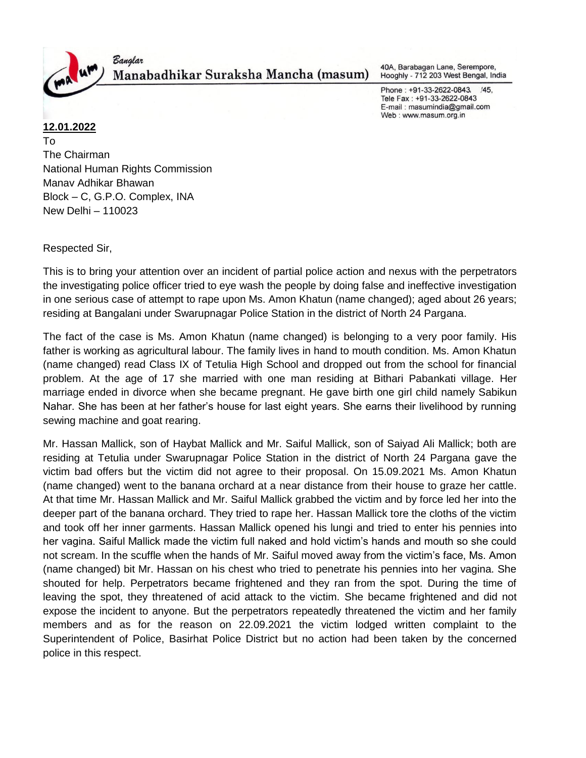

Banglar Manabadhikar Suraksha Mancha (masum)

40A, Barabagan Lane, Serempore, Hooghly - 712 203 West Bengal, India

Phone: +91-33-2622-0843.  $/45,$ Tele Fax: +91-33-2622-0843 E-mail: masumindia@gmail.com Web: www.masum.org.in

# **12.01.2022**

To The Chairman National Human Rights Commission Manav Adhikar Bhawan Block – C, G.P.O. Complex, INA New Delhi – 110023

Respected Sir,

This is to bring your attention over an incident of partial police action and nexus with the perpetrators the investigating police officer tried to eye wash the people by doing false and ineffective investigation in one serious case of attempt to rape upon Ms. Amon Khatun (name changed); aged about 26 years; residing at Bangalani under Swarupnagar Police Station in the district of North 24 Pargana.

The fact of the case is Ms. Amon Khatun (name changed) is belonging to a very poor family. His father is working as agricultural labour. The family lives in hand to mouth condition. Ms. Amon Khatun (name changed) read Class IX of Tetulia High School and dropped out from the school for financial problem. At the age of 17 she married with one man residing at Bithari Pabankati village. Her marriage ended in divorce when she became pregnant. He gave birth one girl child namely Sabikun Nahar. She has been at her father's house for last eight years. She earns their livelihood by running sewing machine and goat rearing.

Mr. Hassan Mallick, son of Haybat Mallick and Mr. Saiful Mallick, son of Saiyad Ali Mallick; both are residing at Tetulia under Swarupnagar Police Station in the district of North 24 Pargana gave the victim bad offers but the victim did not agree to their proposal. On 15.09.2021 Ms. Amon Khatun (name changed) went to the banana orchard at a near distance from their house to graze her cattle. At that time Mr. Hassan Mallick and Mr. Saiful Mallick grabbed the victim and by force led her into the deeper part of the banana orchard. They tried to rape her. Hassan Mallick tore the cloths of the victim and took off her inner garments. Hassan Mallick opened his lungi and tried to enter his pennies into her vagina. Saiful Mallick made the victim full naked and hold victim's hands and mouth so she could not scream. In the scuffle when the hands of Mr. Saiful moved away from the victim's face, Ms. Amon (name changed) bit Mr. Hassan on his chest who tried to penetrate his pennies into her vagina. She shouted for help. Perpetrators became frightened and they ran from the spot. During the time of leaving the spot, they threatened of acid attack to the victim. She became frightened and did not expose the incident to anyone. But the perpetrators repeatedly threatened the victim and her family members and as for the reason on 22.09.2021 the victim lodged written complaint to the Superintendent of Police, Basirhat Police District but no action had been taken by the concerned police in this respect.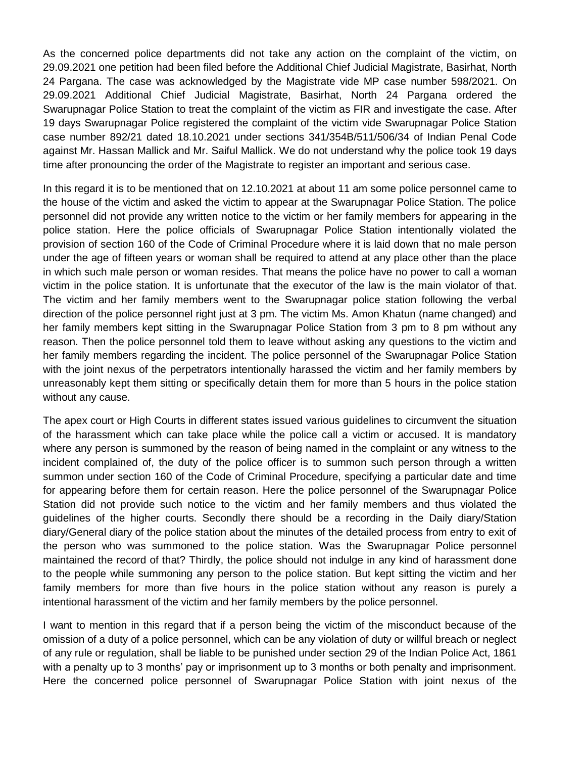As the concerned police departments did not take any action on the complaint of the victim, on 29.09.2021 one petition had been filed before the Additional Chief Judicial Magistrate, Basirhat, North 24 Pargana. The case was acknowledged by the Magistrate vide MP case number 598/2021. On 29.09.2021 Additional Chief Judicial Magistrate, Basirhat, North 24 Pargana ordered the Swarupnagar Police Station to treat the complaint of the victim as FIR and investigate the case. After 19 days Swarupnagar Police registered the complaint of the victim vide Swarupnagar Police Station case number 892/21 dated 18.10.2021 under sections 341/354B/511/506/34 of Indian Penal Code against Mr. Hassan Mallick and Mr. Saiful Mallick. We do not understand why the police took 19 days time after pronouncing the order of the Magistrate to register an important and serious case.

In this regard it is to be mentioned that on 12.10.2021 at about 11 am some police personnel came to the house of the victim and asked the victim to appear at the Swarupnagar Police Station. The police personnel did not provide any written notice to the victim or her family members for appearing in the police station. Here the police officials of Swarupnagar Police Station intentionally violated the provision of section 160 of the Code of Criminal Procedure where it is laid down that no male person under the age of fifteen years or woman shall be required to attend at any place other than the place in which such male person or woman resides. That means the police have no power to call a woman victim in the police station. It is unfortunate that the executor of the law is the main violator of that. The victim and her family members went to the Swarupnagar police station following the verbal direction of the police personnel right just at 3 pm. The victim Ms. Amon Khatun (name changed) and her family members kept sitting in the Swarupnagar Police Station from 3 pm to 8 pm without any reason. Then the police personnel told them to leave without asking any questions to the victim and her family members regarding the incident. The police personnel of the Swarupnagar Police Station with the joint nexus of the perpetrators intentionally harassed the victim and her family members by unreasonably kept them sitting or specifically detain them for more than 5 hours in the police station without any cause.

The apex court or High Courts in different states issued various guidelines to circumvent the situation of the harassment which can take place while the police call a victim or accused. It is mandatory where any person is summoned by the reason of being named in the complaint or any witness to the incident complained of, the duty of the police officer is to summon such person through a written summon under section 160 of the Code of Criminal Procedure, specifying a particular date and time for appearing before them for certain reason. Here the police personnel of the Swarupnagar Police Station did not provide such notice to the victim and her family members and thus violated the guidelines of the higher courts. Secondly there should be a recording in the Daily diary/Station diary/General diary of the police station about the minutes of the detailed process from entry to exit of the person who was summoned to the police station. Was the Swarupnagar Police personnel maintained the record of that? Thirdly, the police should not indulge in any kind of harassment done to the people while summoning any person to the police station. But kept sitting the victim and her family members for more than five hours in the police station without any reason is purely a intentional harassment of the victim and her family members by the police personnel.

I want to mention in this regard that if a person being the victim of the misconduct because of the omission of a duty of a police personnel, which can be any violation of duty or willful breach or neglect of any rule or regulation, shall be liable to be punished under section 29 of the Indian Police Act, 1861 with a penalty up to 3 months' pay or imprisonment up to 3 months or both penalty and imprisonment. Here the concerned police personnel of Swarupnagar Police Station with joint nexus of the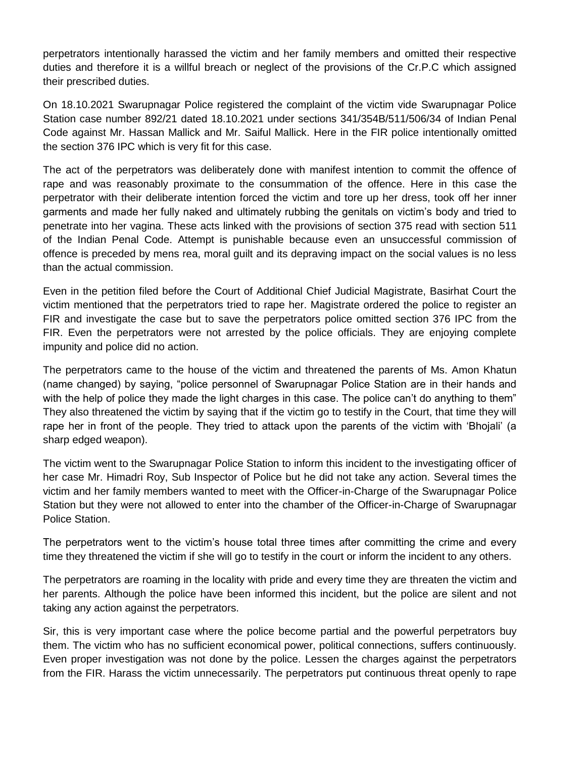perpetrators intentionally harassed the victim and her family members and omitted their respective duties and therefore it is a willful breach or neglect of the provisions of the Cr.P.C which assigned their prescribed duties.

On 18.10.2021 Swarupnagar Police registered the complaint of the victim vide Swarupnagar Police Station case number 892/21 dated 18.10.2021 under sections 341/354B/511/506/34 of Indian Penal Code against Mr. Hassan Mallick and Mr. Saiful Mallick. Here in the FIR police intentionally omitted the section 376 IPC which is very fit for this case.

The act of the perpetrators was deliberately done with manifest intention to commit the offence of rape and was reasonably proximate to the consummation of the offence. Here in this case the perpetrator with their deliberate intention forced the victim and tore up her dress, took off her inner garments and made her fully naked and ultimately rubbing the genitals on victim's body and tried to penetrate into her vagina. These acts linked with the provisions of section 375 read with section 511 of the Indian Penal Code. Attempt is punishable because even an unsuccessful commission of offence is preceded by mens rea, moral guilt and its depraving impact on the social values is no less than the actual commission.

Even in the petition filed before the Court of Additional Chief Judicial Magistrate, Basirhat Court the victim mentioned that the perpetrators tried to rape her. Magistrate ordered the police to register an FIR and investigate the case but to save the perpetrators police omitted section 376 IPC from the FIR. Even the perpetrators were not arrested by the police officials. They are enjoying complete impunity and police did no action.

The perpetrators came to the house of the victim and threatened the parents of Ms. Amon Khatun (name changed) by saying, "police personnel of Swarupnagar Police Station are in their hands and with the help of police they made the light charges in this case. The police can't do anything to them" They also threatened the victim by saying that if the victim go to testify in the Court, that time they will rape her in front of the people. They tried to attack upon the parents of the victim with 'Bhojali' (a sharp edged weapon).

The victim went to the Swarupnagar Police Station to inform this incident to the investigating officer of her case Mr. Himadri Roy, Sub Inspector of Police but he did not take any action. Several times the victim and her family members wanted to meet with the Officer-in-Charge of the Swarupnagar Police Station but they were not allowed to enter into the chamber of the Officer-in-Charge of Swarupnagar Police Station.

The perpetrators went to the victim's house total three times after committing the crime and every time they threatened the victim if she will go to testify in the court or inform the incident to any others.

The perpetrators are roaming in the locality with pride and every time they are threaten the victim and her parents. Although the police have been informed this incident, but the police are silent and not taking any action against the perpetrators.

Sir, this is very important case where the police become partial and the powerful perpetrators buy them. The victim who has no sufficient economical power, political connections, suffers continuously. Even proper investigation was not done by the police. Lessen the charges against the perpetrators from the FIR. Harass the victim unnecessarily. The perpetrators put continuous threat openly to rape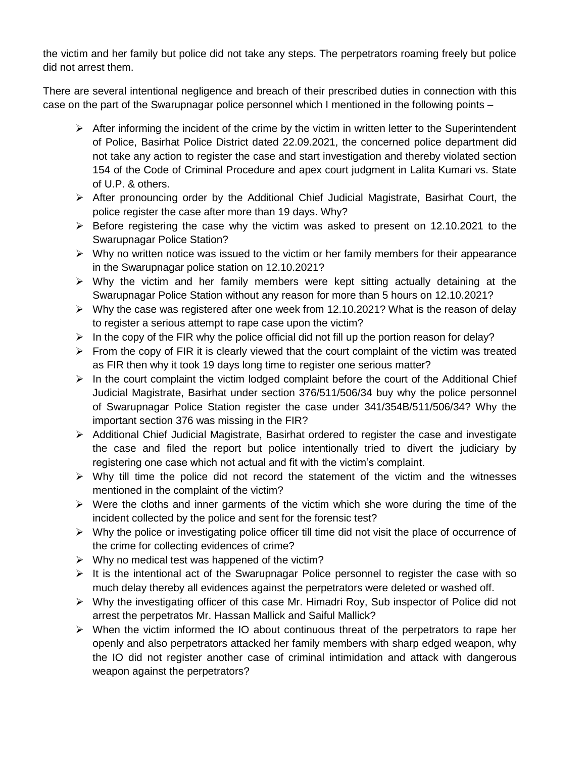the victim and her family but police did not take any steps. The perpetrators roaming freely but police did not arrest them.

There are several intentional negligence and breach of their prescribed duties in connection with this case on the part of the Swarupnagar police personnel which I mentioned in the following points –

- $\triangleright$  After informing the incident of the crime by the victim in written letter to the Superintendent of Police, Basirhat Police District dated 22.09.2021, the concerned police department did not take any action to register the case and start investigation and thereby violated section 154 of the Code of Criminal Procedure and apex court judgment in Lalita Kumari vs. State of U.P. & others.
- After pronouncing order by the Additional Chief Judicial Magistrate, Basirhat Court, the police register the case after more than 19 days. Why?
- $\triangleright$  Before registering the case why the victim was asked to present on 12.10.2021 to the Swarupnagar Police Station?
- $\triangleright$  Why no written notice was issued to the victim or her family members for their appearance in the Swarupnagar police station on 12.10.2021?
- $\triangleright$  Why the victim and her family members were kept sitting actually detaining at the Swarupnagar Police Station without any reason for more than 5 hours on 12.10.2021?
- $\triangleright$  Why the case was registered after one week from 12.10.2021? What is the reason of delay to register a serious attempt to rape case upon the victim?
- $\triangleright$  In the copy of the FIR why the police official did not fill up the portion reason for delay?
- $\triangleright$  From the copy of FIR it is clearly viewed that the court complaint of the victim was treated as FIR then why it took 19 days long time to register one serious matter?
- $\triangleright$  In the court complaint the victim lodged complaint before the court of the Additional Chief Judicial Magistrate, Basirhat under section 376/511/506/34 buy why the police personnel of Swarupnagar Police Station register the case under 341/354B/511/506/34? Why the important section 376 was missing in the FIR?
- $\triangleright$  Additional Chief Judicial Magistrate, Basirhat ordered to register the case and investigate the case and filed the report but police intentionally tried to divert the judiciary by registering one case which not actual and fit with the victim's complaint.
- $\triangleright$  Why till time the police did not record the statement of the victim and the witnesses mentioned in the complaint of the victim?
- $\triangleright$  Were the cloths and inner garments of the victim which she wore during the time of the incident collected by the police and sent for the forensic test?
- $\triangleright$  Why the police or investigating police officer till time did not visit the place of occurrence of the crime for collecting evidences of crime?
- $\triangleright$  Why no medical test was happened of the victim?
- $\triangleright$  It is the intentional act of the Swarupnagar Police personnel to register the case with so much delay thereby all evidences against the perpetrators were deleted or washed off.
- $\triangleright$  Why the investigating officer of this case Mr. Himadri Roy, Sub inspector of Police did not arrest the perpetratos Mr. Hassan Mallick and Saiful Mallick?
- $\triangleright$  When the victim informed the IO about continuous threat of the perpetrators to rape her openly and also perpetrators attacked her family members with sharp edged weapon, why the IO did not register another case of criminal intimidation and attack with dangerous weapon against the perpetrators?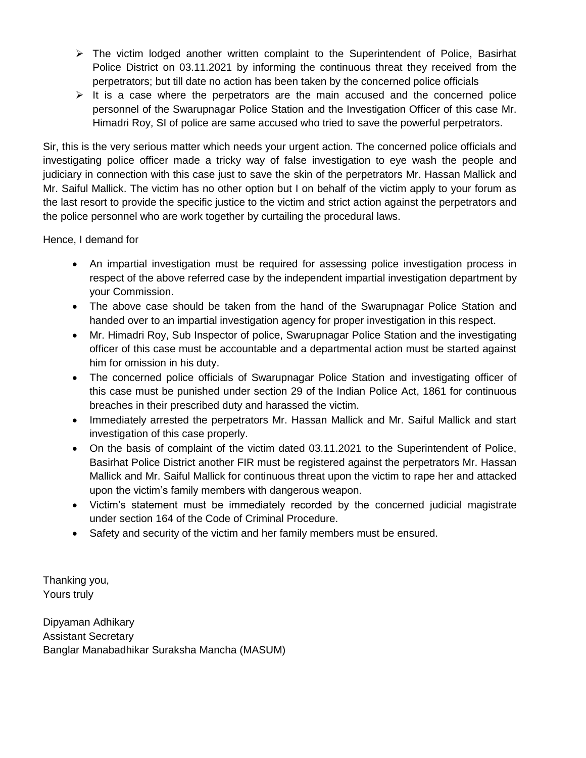- $\triangleright$  The victim lodged another written complaint to the Superintendent of Police, Basirhat Police District on 03.11.2021 by informing the continuous threat they received from the perpetrators; but till date no action has been taken by the concerned police officials
- $\triangleright$  It is a case where the perpetrators are the main accused and the concerned police personnel of the Swarupnagar Police Station and the Investigation Officer of this case Mr. Himadri Roy, SI of police are same accused who tried to save the powerful perpetrators.

Sir, this is the very serious matter which needs your urgent action. The concerned police officials and investigating police officer made a tricky way of false investigation to eye wash the people and judiciary in connection with this case just to save the skin of the perpetrators Mr. Hassan Mallick and Mr. Saiful Mallick. The victim has no other option but I on behalf of the victim apply to your forum as the last resort to provide the specific justice to the victim and strict action against the perpetrators and the police personnel who are work together by curtailing the procedural laws.

Hence, I demand for

- An impartial investigation must be required for assessing police investigation process in respect of the above referred case by the independent impartial investigation department by your Commission.
- The above case should be taken from the hand of the Swarupnagar Police Station and handed over to an impartial investigation agency for proper investigation in this respect.
- Mr. Himadri Roy, Sub Inspector of police, Swarupnagar Police Station and the investigating officer of this case must be accountable and a departmental action must be started against him for omission in his duty.
- The concerned police officials of Swarupnagar Police Station and investigating officer of this case must be punished under section 29 of the Indian Police Act, 1861 for continuous breaches in their prescribed duty and harassed the victim.
- Immediately arrested the perpetrators Mr. Hassan Mallick and Mr. Saiful Mallick and start investigation of this case properly.
- On the basis of complaint of the victim dated 03.11.2021 to the Superintendent of Police, Basirhat Police District another FIR must be registered against the perpetrators Mr. Hassan Mallick and Mr. Saiful Mallick for continuous threat upon the victim to rape her and attacked upon the victim's family members with dangerous weapon.
- Victim's statement must be immediately recorded by the concerned judicial magistrate under section 164 of the Code of Criminal Procedure.
- Safety and security of the victim and her family members must be ensured.

Thanking you, Yours truly

Dipyaman Adhikary Assistant Secretary Banglar Manabadhikar Suraksha Mancha (MASUM)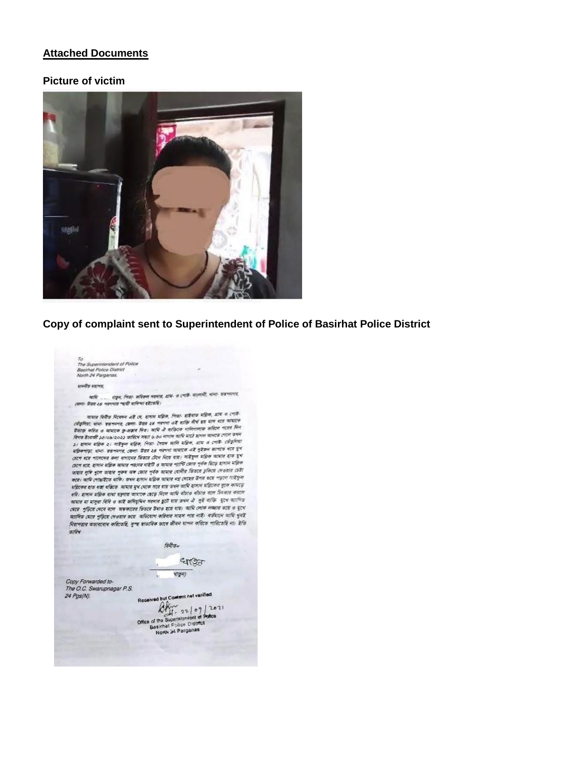#### **Attached Documents**

#### **Picture of victim**



### **Copy of complaint sent to Superintendent of Police of Basirhat Police District**

To<br>The Superintendent of Police<br>Basirhat Police District<br>North 24 Parganas.

#### world's vervor.

कामि ....... शङ्कन, चिक्का- कवितमा महामात, आय- त ट्याप्ती- मारणांनी, शाना- शक्नभगंश, उस्ला- केंद्रब २८ भनगणत न्यारी वामिणा इंद्रेट्सवि।

্যালাল ততা হয় পৰিবাৰ পাছত বাবে বা হৈছে।<br>ক্ৰীকৃতিয়া, পালা- কৰা দলবা, জ্ঞানা, উন্নয় ২৪ পৰাগৰা এই ব্যক্তি দীৰ্ঘ হয় মান ধৰে আমাৰে কেইবাৰ মহিলা, আমাৰ ক্<br>উদ্ভাৱ কৰিব ও আমাৰে ভু-জন্মৰ দিয়া । আমি ঐ ব্যক্তিক পালিগালাজ কৰিলে কেবে ধরে পালেদের কলা বাগানের ভিতরে টেনে নিয়ে হায়। সাইযুল মপ্লিক আমার হাত দুখ তেখে যায়। সামান্য কৰা বাসাৰে পৰানৰ নাইটি ও আমাৰ পাৰ্টি জোৱ পূৰ্বক ছিড়ে হাসান মন্ত্ৰিক সেপে বঙে, ব্যানা মাজত আমার পরম্পর শহাত ও আমার হোলীর ভিতরে চুকিয়ে দেওয়ার চেটা।<br>ভাষার দুর্দি খুলে তাহার পুরুষ অঙ্গ জেরে পূর্বক আমার হোলীর ভিতরে চুকিয়ে দেওয়ার চেটা। জাৰাম যুগ্ৰ সুদেশ জাৰাম সুস্থাৰ আৰু জ্যেষ্ঠ সুস্থা আমাৰ লগতের উপর গুয়ে পড়লে আইয়ুলা<br>করে। আমি গোস্তাইতে থাকি। তথল হাসান মাল্লিক আমাৰ লগ দেহের উপর গুয়ে পড়লে আইয়ুলা কৰে। আম গোৱাহতে থাকে। তথম হালাদ মাহক আমাত দা দেখে।<br>মন্তিকের হাত ধরা ধরিতে আমার মুখ থেকে সরে যায় তখন আমি হালাদ মহিলের বুকে ধ্যমতে<br>-মাজিকের হাত থকা থকিতে আমার মুখ থেকে সরে যায় ভখন আমে হাসান শাহনেক গুলে কামান্ত<br>ধরি। হাসান মহিক বাধ্য যন্ত্রণায় আমারে হেন্দ্রে বিশে আমি বাঁচা বাঁচা বাঁচাও বাঁচা চিৎকার করা করায়ে<br>কামান যা যাস্কর বিকি ও আই কামিয়াইনে সক্ষ आमान मा मानूना निनि ७ छात्रे कामियुक्तिम मनमान क्वार्टी गांड छक्म थी। मुद्दे नाकि भूटब पाालिक মেরে পুড়িয়ে দেবে বলে অভকারের ভিডরে উধাও হয়ে যায়। আমি লোক লজ্জার ভয়ে ও মুখে মোদিত মেরে পুরিয়ে দেওয়ার শুরে অভিযোগ করিবার সাহস পায় নাই। বর্তমানে আমি খুবই নিরাপত্তার অভাববোধ করিতেছি, সুস্হ হাডাবিক ভাবে জীবন যাপন করিতে পারিতেছি না। ইতি  $int dx$ 

A.

 $f\bar{g}\bar{f}f$ ) $g_m$ 

enor

 $\sqrt{\frac{1}{2}n}$ 

Copy Forwarded to-The O.C. Swarupnagar P.S. 24 Pgs(N).

Received but Content not varified Received but Commit net varified<br>  $\bigoplus_{r=1}^{\infty}$ <br>
Office of the Superintendent of Police<br>
Besinfrair Police Clistration<br>
North at Parganas North 21 Parganas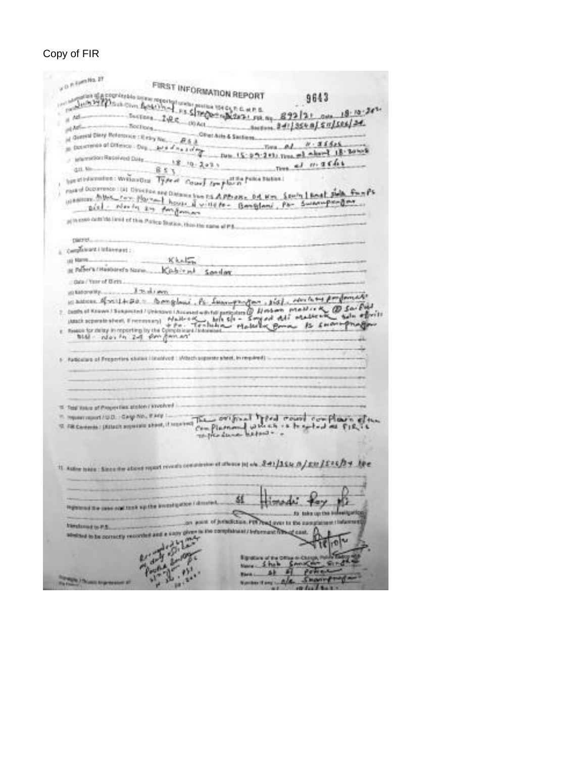# Copy of FIR

| of D. P. Epert No. 27                                                                                                                                                                                         |  |
|---------------------------------------------------------------------------------------------------------------------------------------------------------------------------------------------------------------|--|
| FIRST INFORMATION REPORT                                                                                                                                                                                      |  |
| of the all a country this to any reported under position 104 CLP. C. at P. B.<br>A calculated and change position 104 CLP. C. at P. B.<br>9643<br>Jub Millburght Hotel In-J 25 Stregger where we ap 892/21    |  |
| $0 + 18 - 10 - 26$                                                                                                                                                                                            |  |
| $-100$ Act.<br>$b$ actions. $24/1356$ a) $5\pi$ /586/24.<br>of Art-                                                                                                                                           |  |
| <b>Cover Aires &amp; Santiage</b><br>of General Diery Robertsville : Il miny Nos.                                                                                                                             |  |
| $N - 3555$<br>to Determine of Different Day<br>$1000$ d $0.61$ d d $0$<br>Time                                                                                                                                |  |
| about 18-30 hos<br>Date: 15:07:243: Tires<br>Marcollors Recorded Disea                                                                                                                                        |  |
| 1.013641<br>$18 - 10 - 202$<br>gri. Me<br>おおお                                                                                                                                                                 |  |
|                                                                                                                                                                                                               |  |
| hot stedarmine: WritewGra Type of County traplation future Station:                                                                                                                                           |  |
| mand Department (a) Cleve Fox and Distance from PS APPO also, D.A. Him., Spelly 1 Book Public Four PS<br>wherever this can play and house it will be - Googland, Pa- Sweenperger<br>alal - North any Amformer |  |
| to ease defailed limit of this Parico Station, this the name of P.S.                                                                                                                                          |  |
| <b>Dialority</b>                                                                                                                                                                                              |  |
| Campbell and i little event :                                                                                                                                                                                 |  |
| Khalin<br>LEE BRASH                                                                                                                                                                                           |  |
| as Felher's / Haskierel's Name<br>Cabinut<br>Sonday                                                                                                                                                           |  |
| citata / Year of Birth                                                                                                                                                                                        |  |
| <b>A Thurst Avenue</b><br>ug Nationwiths                                                                                                                                                                      |  |
| 1365 - Herbert por family<br>in batter, ROSU-REC. Demglasi Ps<br><b>AMANUMPROVERS</b>                                                                                                                         |  |
| Death of Known ! Subjected ! Unknown   August with the particulars $\emptyset$ Herberts primites to $\sim \emptyset$ Sar Eucl                                                                                 |  |
| $-$ that is $-$<br>Hallrook biles le - Songad del ocasserion<br>+ Fo - Tocheshow Material Borow Bs SH<br>statach acquirable sheet, if rice essays).                                                           |  |
| <b>PS ENOME</b><br>theaton for detay in reporting by the Opinpia lears / Interested                                                                                                                           |  |
| Blist - We's fix 24 fire floor art                                                                                                                                                                            |  |
|                                                                                                                                                                                                               |  |
| Audiculture of Freperfors studes (Istanburg : Mitsch separate sheet, in required)                                                                                                                             |  |
|                                                                                                                                                                                                               |  |
|                                                                                                                                                                                                               |  |
|                                                                                                                                                                                                               |  |
| 10. Total Halutz of Progression attoices / knyckved                                                                                                                                                           |  |
| T. Imperiment/U.D. Gasp No., Early 1.                                                                                                                                                                         |  |
| The original Territorial complexes etter<br>17. FBI Cardenda / (REMOT superiorio about, if separanci<br>Completement which is to splend as FIR is                                                             |  |
| The file denied before -                                                                                                                                                                                      |  |
|                                                                                                                                                                                                               |  |
|                                                                                                                                                                                                               |  |
| 11. Author tobes : Since the ations regard reveals consideration of afforce jot who Real / RSL in / RSL / Real / RSL / Real                                                                                   |  |
|                                                                                                                                                                                                               |  |
|                                                                                                                                                                                                               |  |
| e<br>SL<br>1.1                                                                                                                                                                                                |  |
| registered the case cost tank up the investigation I directed.<br>1,75 km at 174                                                                                                                              |  |
| for take up the bulesilgarical                                                                                                                                                                                |  |
| on point of jurisdiction, FIR read over to the completeen (Information<br><b>Timbrout</b> to P.S.                                                                                                             |  |
| absisted to be correctly recorded and a sooy given is the complaintant / informant filling cost.                                                                                                              |  |
|                                                                                                                                                                                                               |  |
| <b>Egnature of the Offse or Club</b>                                                                                                                                                                          |  |
| <b>CAPITAL R</b><br>5 hab                                                                                                                                                                                     |  |
|                                                                                                                                                                                                               |  |
| <b><i>Company &amp; Chrysler Are agreement of</i></b><br><b>Number if any Liv</b><br><b>Highla</b>                                                                                                            |  |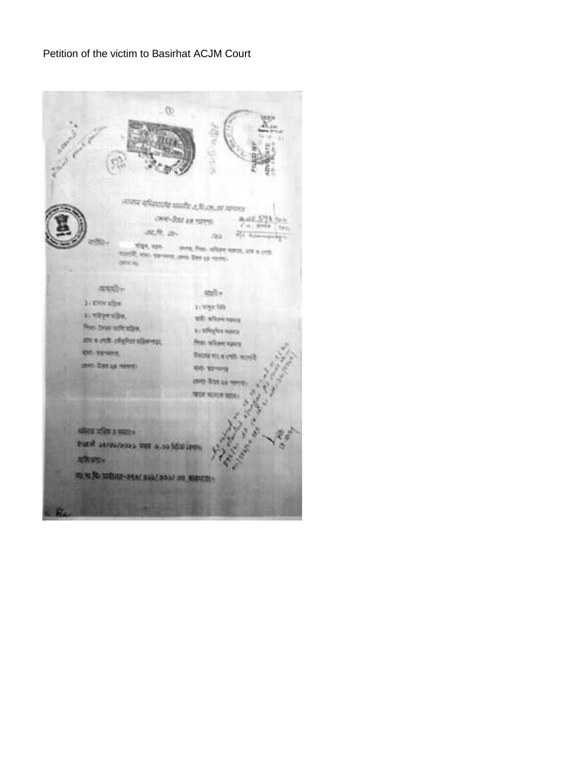## Petition of the victim to Basirhat ACJM Court

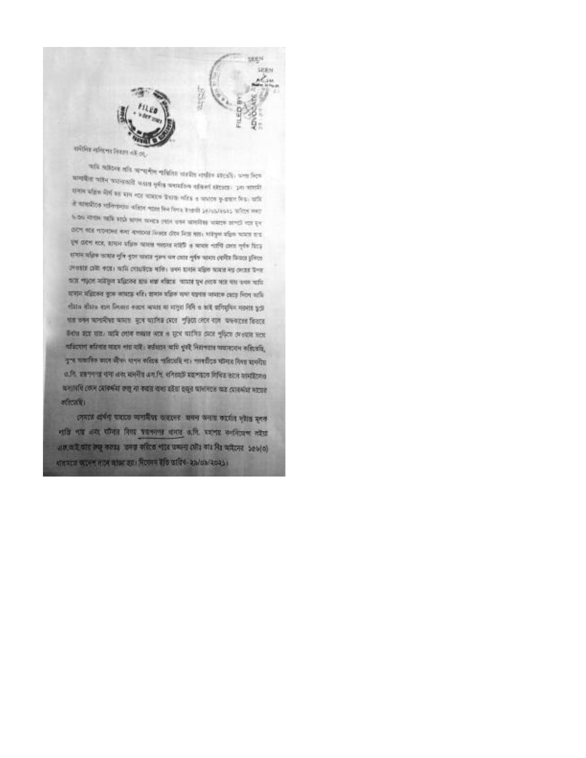



will witten alls sentibe effect stells order steak, was free कावयीना चाहन प्राप्तवादती अश्वास मुत्रीय व्यवसांस्था नाजिलां स्थाप्तवाः ३२१ भागानी समान प्रतिक मैंसी का माम नाट काबाल केवाक नरिक्ष व अध्ययक कुष्पाल मित्र। कृषि the system concerns of the two states and approved to express where the state attempts and the state with state and the cove करण बरब मारनामत कमा नामारका निकाल दौरव निकालता। भारेपूर्ण महिला मानाव कार पूर्ण करेगा स्टंड, शामान सहित खासल मतदाब नाईफें व खासले गरगि द्रवारा गुर्गक सिटक समान सक्रिक छास्रत नुनि बुरुण कारात मुख्य चन तरात नुर्वत्र भारत त्यपीत किंग्रत हुनिरत লেতহার মৌ করে। আমি গোয়াইতে বাকি। তবন হাবান মন্ত্রিক আমার নয় দেহের উপর प्रदेश गंदछन मार्केकृत अधिकार खात संख संख्या आपार पुण ततक पात गाया गाया। समान महितका कुछ अपाइ श्रीर। शब्दन सहित रामा स्क्षांत भागात तरह रिटर साथि ৰাঁহাত ৰাঁহাত ৰচন দিনখন কৰলে অআৰ মা লাদুৱা বিশি ও ছাই অনিযুদ্দিন নকৰাৰ দুটে যায় তথ্য অসামীয়া অমায় মুখে আদিত মেগে পুড়িয়ে দেখে বাদ অফচাৰে ডিভাব উৎপত্ত হয়ে যায়। আমি গোৰু কজাত অৰ্থে ও যুগে আদিও থেকে পুড়িবে দেওয়াৰ দৰে। অভিযোগ করিবার নহয়ে পায় নাই। কর্তমানে আমি খুবই সিয়াগতার অভাববেগ করিতেছি, দুখ অকাৰিক জ্ঞান জীবন যাপন কৰিছে পাৰিতেছি লা। পৰাতীতে দলৈত বিষয় হাননীয় 0.वि. शङ्गाणानां याचा अवर भागनीय अनानि, बनिडवरी मद्यान्तरात्र विचित्र काटव वामादिरणार यभाविर रहाने स्वास्थ्यियां के ना कारण राजा रहेगा वसून कारणराह कर स्वास्थ्या मारवर व्हिटारचि।

সেনতে প্ৰাৰ্থি অহাতে অসাহীয়া অহাদেৱ জনান অনায় কাৰ্য্যৰ দৃষ্টাৰ সুদক नाति नाम असे समिता निगम परानानांत अनात अ.मि. अशनात सन्नित्वन्त नदेश अलाकरी जात तेजू नराइड उनसे संग्रेज भार कथना रही। यो मिर अमितन 506(0) ধাৰমতে অলেশ দাসে আজা হয়। নিজেন ইতি তাবিধ-ইঠাওঠাওচহয়।